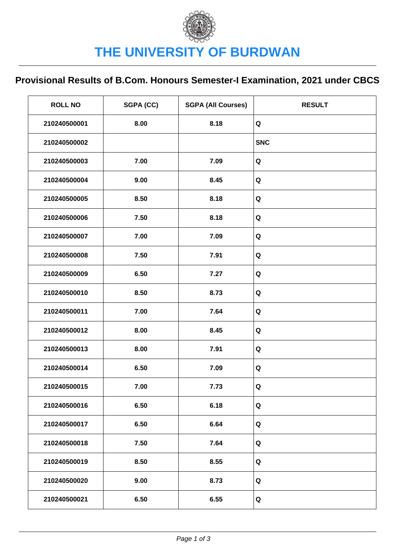## **Provisional Results of B.Com. Honours Semester-I Examination, 2021 under CBCS**

| <b>ROLL NO</b> | SGPA (CC) | <b>SGPA (All Courses)</b> | <b>RESULT</b> |
|----------------|-----------|---------------------------|---------------|
| 210240500001   | 8.00      | 8.18                      | Q             |
| 210240500002   |           |                           | <b>SNC</b>    |
| 210240500003   | 7.00      | 7.09                      | Q             |
| 210240500004   | 9.00      | 8.45                      | Q             |
| 210240500005   | 8.50      | 8.18                      | Q             |
| 210240500006   | 7.50      | 8.18                      | Q             |
| 210240500007   | 7.00      | 7.09                      | Q             |
| 210240500008   | 7.50      | 7.91                      | Q             |
| 210240500009   | 6.50      | 7.27                      | Q             |
| 210240500010   | 8.50      | 8.73                      | Q             |
| 210240500011   | 7.00      | 7.64                      | Q             |
| 210240500012   | 8.00      | 8.45                      | Q             |
| 210240500013   | 8.00      | 7.91                      | Q             |
| 210240500014   | 6.50      | 7.09                      | Q             |
| 210240500015   | 7.00      | 7.73                      | Q             |
| 210240500016   | 6.50      | 6.18                      | Q             |
| 210240500017   | 6.50      | 6.64                      | Q             |
| 210240500018   | 7.50      | 7.64                      | Q             |
| 210240500019   | 8.50      | 8.55                      | Q             |
| 210240500020   | 9.00      | 8.73                      | Q             |
| 210240500021   | 6.50      | 6.55                      | Q             |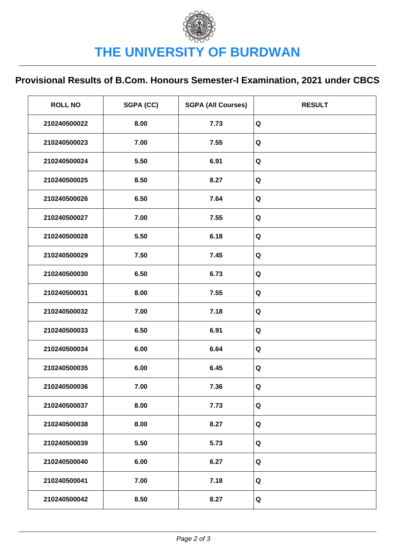## **Provisional Results of B.Com. Honours Semester-I Examination, 2021 under CBCS**

| <b>ROLL NO</b> | SGPA (CC) | <b>SGPA (All Courses)</b> | <b>RESULT</b> |
|----------------|-----------|---------------------------|---------------|
| 210240500022   | 8.00      | 7.73                      | Q             |
| 210240500023   | 7.00      | 7.55                      | Q             |
| 210240500024   | 5.50      | 6.91                      | $\mathbf Q$   |
| 210240500025   | 8.50      | 8.27                      | Q             |
| 210240500026   | 6.50      | 7.64                      | Q             |
| 210240500027   | 7.00      | 7.55                      | Q             |
| 210240500028   | 5.50      | 6.18                      | $\mathbf Q$   |
| 210240500029   | 7.50      | 7.45                      | $\mathbf Q$   |
| 210240500030   | 6.50      | 6.73                      | Q             |
| 210240500031   | 8.00      | 7.55                      | Q             |
| 210240500032   | 7.00      | 7.18                      | Q             |
| 210240500033   | 6.50      | 6.91                      | Q             |
| 210240500034   | 6.00      | 6.64                      | Q             |
| 210240500035   | 6.00      | 6.45                      | $\mathbf Q$   |
| 210240500036   | 7.00      | 7.36                      | Q             |
| 210240500037   | 8.00      | 7.73                      | Q             |
| 210240500038   | 8.00      | 8.27                      | Q             |
| 210240500039   | 5.50      | 5.73                      | Q             |
| 210240500040   | 6.00      | 6.27                      | Q             |
| 210240500041   | 7.00      | 7.18                      | Q             |
| 210240500042   | 8.50      | 8.27                      | Q             |